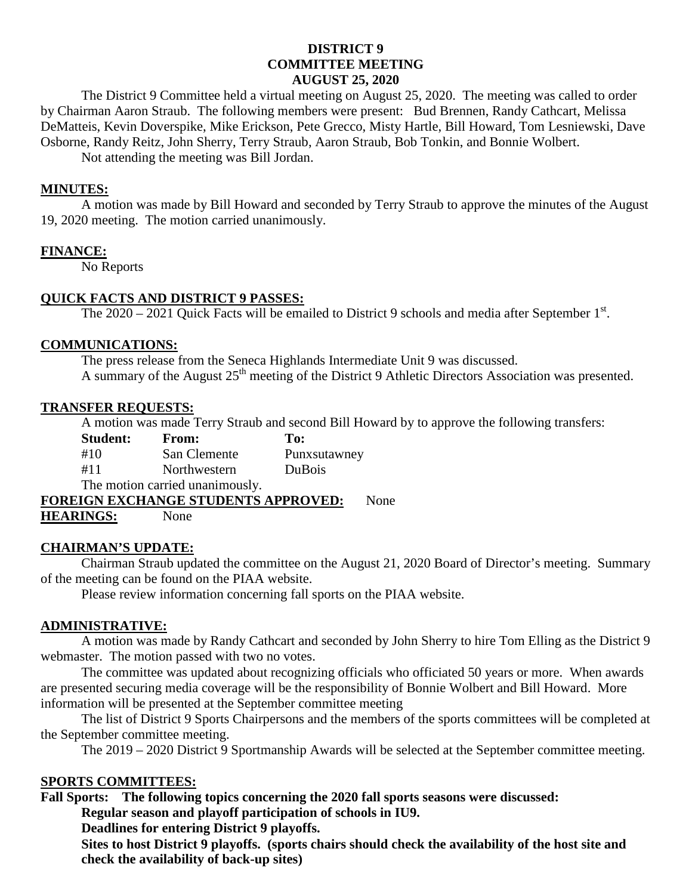# **DISTRICT 9 COMMITTEE MEETING AUGUST 25, 2020**

The District 9 Committee held a virtual meeting on August 25, 2020. The meeting was called to order by Chairman Aaron Straub. The following members were present: Bud Brennen, Randy Cathcart, Melissa DeMatteis, Kevin Doverspike, Mike Erickson, Pete Grecco, Misty Hartle, Bill Howard, Tom Lesniewski, Dave Osborne, Randy Reitz, John Sherry, Terry Straub, Aaron Straub, Bob Tonkin, and Bonnie Wolbert.

Not attending the meeting was Bill Jordan.

### **MINUTES:**

A motion was made by Bill Howard and seconded by Terry Straub to approve the minutes of the August 19, 2020 meeting. The motion carried unanimously.

# **FINANCE:**

No Reports

# **QUICK FACTS AND DISTRICT 9 PASSES:**

The  $2020 - 2021$  Quick Facts will be emailed to District 9 schools and media after September 1<sup>st</sup>.

# **COMMUNICATIONS:**

The press release from the Seneca Highlands Intermediate Unit 9 was discussed. A summary of the August 25<sup>th</sup> meeting of the District 9 Athletic Directors Association was presented.

#### **TRANSFER REQUESTS:**

A motion was made Terry Straub and second Bill Howard by to approve the following transfers:

| <b>Student:</b> | <b>From:</b>                    | To:           |
|-----------------|---------------------------------|---------------|
| #10             | San Clemente                    | Punxsutawney  |
| #11             | Northwestern                    | <b>DuBois</b> |
|                 | The motion carried unanimously. |               |
|                 |                                 |               |

**FOREIGN EXCHANGE STUDENTS APPROVED:** None

**HEARINGS:** None

#### **CHAIRMAN'S UPDATE:**

Chairman Straub updated the committee on the August 21, 2020 Board of Director's meeting. Summary of the meeting can be found on the PIAA website.

Please review information concerning fall sports on the PIAA website.

#### **ADMINISTRATIVE:**

A motion was made by Randy Cathcart and seconded by John Sherry to hire Tom Elling as the District 9 webmaster. The motion passed with two no votes.

The committee was updated about recognizing officials who officiated 50 years or more. When awards are presented securing media coverage will be the responsibility of Bonnie Wolbert and Bill Howard. More information will be presented at the September committee meeting

The list of District 9 Sports Chairpersons and the members of the sports committees will be completed at the September committee meeting.

The 2019 – 2020 District 9 Sportmanship Awards will be selected at the September committee meeting.

# **SPORTS COMMITTEES:**

**Fall Sports: The following topics concerning the 2020 fall sports seasons were discussed: Regular season and playoff participation of schools in IU9.**

**Deadlines for entering District 9 playoffs.**

**Sites to host District 9 playoffs. (sports chairs should check the availability of the host site and check the availability of back-up sites)**